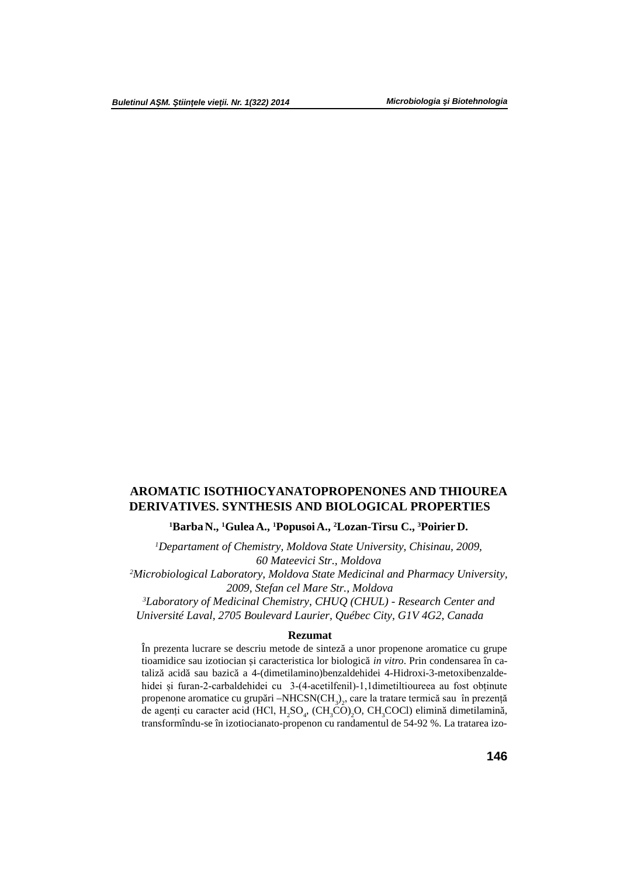# **AROMATIC ISOTHIOCYANATOPROPENONES AND THIOUREA DERIVATIVES. SYNTHESIS AND BIOLOGICAL PROPERTIES**

**<sup>1</sup>BarbaN., <sup>1</sup>GuleaA., <sup>1</sup>PopusoiA., <sup>2</sup>Lozan-Tirsu C., <sup>3</sup>PoirierD.**

*<sup>1</sup>Departament of Chemistry, Moldova State University, Chisinau, 2009, 60 Mateevici Str., Moldova*

*<sup>2</sup>Microbiological Laboratory, Moldova State Medicinal and Pharmacy University, 2009, Stefan cel Mare Str., Moldova*

*<sup>3</sup>Laboratory of Medicinal Chemistry, CHUQ (CHUL) - Research Center and Université Laval, 2705 Boulevard Laurier, Québec City, G1V 4G2, Canada*

### **Rezumat**

În prezenta lucrare se descriu metode de sintez a unor propenone aromatice cu grupe tioamidice sau izotiocian *i* caracteristica lor biologic *in vitro*. Prin condensarea în cataliz acid sau bazic a 4-(dimetilamino)benzaldehidei 4-Hidroxi-3-metoxibenzaldehidei și furan-2-carbaldehidei cu 3-(4-acetilfenil)-1,1dimetiltioureea au fost obținute propenone aromatice cu grup ri –NHCSN(CH<sub>3</sub>)<sub>2</sub>, care la tratare termică sau în prezență de agenți cu caracter acid (HCl,  $H_2SO_4$ , (CH<sub>3</sub>CO)<sub>2</sub>O, CH<sub>3</sub>COCl) elimin dimetilamin, transformîndu-se în izotiocianato-propenon cu randamentul de 54-92 %. La tratarea izo-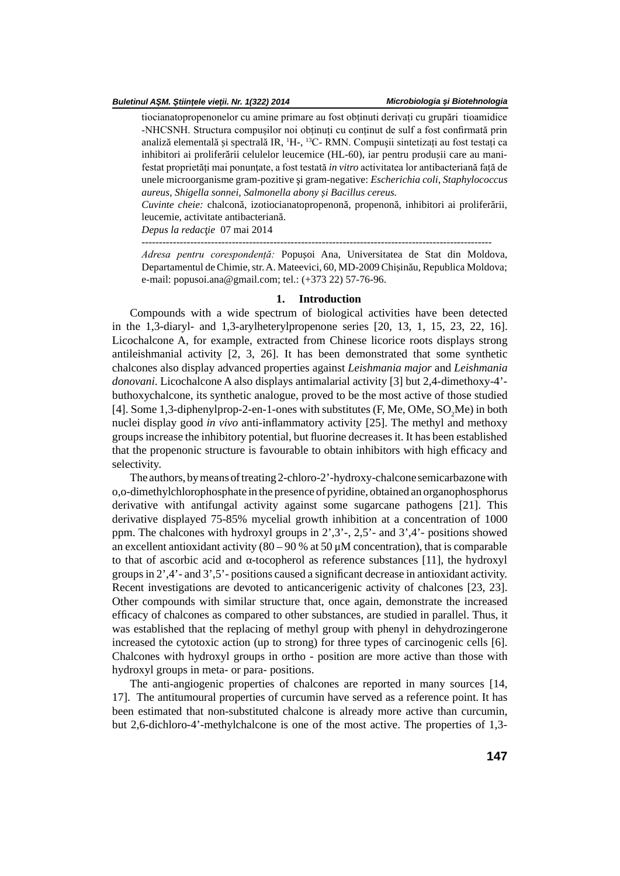#### *Buletinul A M. tiin ele vie ii. Nr. 1(322) 2014*

tiocianatopropenonelor cu amine primare au fost obținuti derivați cu grupări tioamidice -NHCSNH. Structura compușilor noi obținuți cu conținut de sulf a fost confirmată prin analiz elemental i spectral IR, <sup>1</sup>H-, <sup>13</sup>C- RMN. Compușii sintetizați au fost testați ca inhibitori ai prolifer rii celulelor leucemice (HL-60), iar pentru produ ii care au manifestat proprietăți mai ponunţate, a fost testată *in vitro* activitatea lor antibacteriană față de unele microorganisme gram-pozitive i gram-negative: *Escherichia coli, Staphylococcus aureus, Shigella sonnei, Salmonella abony și Bacillus cereus.*

*Cuvinte cheie:* chalcon, izotiocianatopropenon, propenon, inhibitori ai prolifer rii, leucemie, activitate antibacterian.

*Depus la redac ie* 07 mai 2014

-----------------------------------------------------------------------------------------------------

Adresa pentru corespondență: Popu oi Ana, Universitatea de Stat din Moldova, Departamentul de Chimie, str. A. Mateevici, 60, MD-2009 Chi in u, Republica Moldova; e-mail: popusoi.ana@gmail.com; tel.: (+373 22) 57-76-96.

### **1. Introduction**

Compounds with a wide spectrum of biological activities have been detected in the 1,3-diaryl- and 1,3-arylheterylpropenone series [20, 13, 1, 15, 23, 22, 16]. Licochalcone A, for example, extracted from Chinese licorice roots displays strong antileishmanial activity [2, 3, 26]. It has been demonstrated that some synthetic chalcones also display advanced properties against *Leishmania major* and *Leishmania donovani*. Licochalcone A also displays antimalarial activity [3] but 2,4-dimethoxy-4' buthoxychalcone, its synthetic analogue, proved to be the most active of those studied [4]. Some 1,3-diphenylprop-2-en-1-ones with substitutes (F, Me, OMe, SO, Me) in both nuclei display good *in vivo* anti-inflammatory activity [25]. The methyl and methoxy groups increase the inhibitory potential, but fluorine decreases it. It has been established that the propenonic structure is favourable to obtain inhibitors with high efficacy and selectivity.

The authors, by means of treating 2-chloro-2'-hydroxy-chalcone semicarbazone with o,o-dimethylchlorophosphate in the presence of pyridine, obtained an organophosphorus derivative with antifungal activity against some sugarcane pathogens [21]. This derivative displayed 75-85% mycelial growth inhibition at a concentration of 1000 ppm. The chalcones with hydroxyl groups in 2',3'-, 2,5'- and 3',4'- positions showed an excellent antioxidant activity  $(80 - 90\%$  at 50  $\mu$ M concentration), that is comparable to that of ascorbic acid and -tocopherol as reference substances [11], the hydroxyl groups in  $2^{\prime}$ , 4'- and  $3^{\prime}$ , 5'- positions caused a significant decrease in antioxidant activity. Recent investigations are devoted to anticancerigenic activity of chalcones [23, 23]. Other compounds with similar structure that, once again, demonstrate the increased efficacy of chalcones as compared to other substances, are studied in parallel. Thus, it was established that the replacing of methyl group with phenyl in dehydrozingerone increased the cytotoxic action (up to strong) for three types of carcinogenic cells [6]. Chalcones with hydroxyl groups in ortho - position are more active than those with hydroxyl groups in meta- or para- positions.

The anti-angiogenic properties of chalcones are reported in many sources [14, 17]. The antitumoural properties of curcumin have served as a reference point. It has been estimated that non-substituted chalcone is already more active than curcumin, but 2,6-dichloro-4'-methylchalcone is one of the most active. The properties of 1,3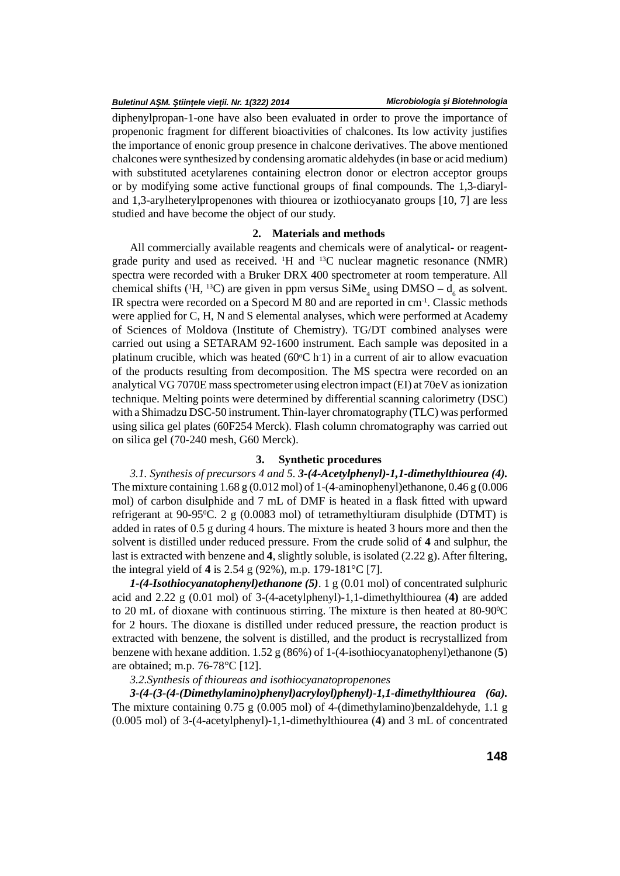diphenylpropan-1-one have also been evaluated in order to prove the importance of propenonic fragment for different bioactivities of chalcones. Its low activity justifies the importance of enonic group presence in chalcone derivatives. The above mentioned chalcones were synthesized by condensing aromatic aldehydes (in base or acid medium) with substituted acetylarenes containing electron donor or electron acceptor groups or by modifying some active functional groups of final compounds. The 1,3-diaryland 1,3-arylheterylpropenones with thiourea or izothiocyanato groups [10, 7] are less studied and have become the object of our study.

# **2. Materials and methods**

All commercially available reagents and chemicals were of analytical- or reagentgrade purity and used as received. <sup>1</sup>H and <sup>13</sup>C nuclear magnetic resonance (NMR) spectra were recorded with a Bruker DRX 400 spectrometer at room temperature. All chemical shifts ( ${}^{1}H$ ,  ${}^{13}C$ ) are given in ppm versus  $SiMe<sub>4</sub>$  using DMSO –  $d<sub>6</sub>$  as solvent. IR spectra were recorded on a Specord M 80 and are reported in cm-1. Classic methods were applied for C, H, N and S elemental analyses, which were performed at Academy of Sciences of Moldova (Institute of Chemistry). TG/DT combined analyses were carried out using a SETARAM 92-1600 instrument. Each sample was deposited in a platinum crucible, which was heated (60 $\degree$ C h·1) in a current of air to allow evacuation of the products resulting from decomposition. The MS spectra were recorded on an analytical VG 7070E mass spectrometer using electron impact (EI) at 70eV as ionization technique. Melting points were determined by differential scanning calorimetry (DSC) with a Shimadzu DSC-50 instrument. Thin-layer chromatography (TLC) was performed using silica gel plates (60F254 Merck). Flash column chromatography was carried out on silica gel (70-240 mesh, G60 Merck).

# **3. Synthetic procedures**

*3.1. Synthesis of precursors 4 and 5. 3-(4-Acetylphenyl)-1,1-dimethylthiourea (4).* The mixture containing  $1.68$  g (0.012 mol) of  $1-(4$ -aminophenyl)ethanone, 0.46 g (0.006 mol) of carbon disulphide and  $7 \text{ mL}$  of DMF is heated in a flask fitted with upward refrigerant at  $90-95\degree$ C. 2 g (0.0083 mol) of tetramethyltiuram disulphide (DTMT) is added in rates of 0.5 g during 4 hours. The mixture is heated 3 hours more and then the solvent is distilled under reduced pressure. From the crude solid of **4** and sulphur, the last is extracted with benzene and **4**, slightly soluble, is isolated  $(2.22 \text{ g})$ . After filtering, the integral yield of **4** is 2.54 g (92%), m.p. 179-181°C [7].

*1-(4-Isothiocyanatophenyl)ethanone (5)*. 1 g (0.01 mol) of concentrated sulphuric acid and 2.22 g (0.01 mol) of 3-(4-acetylphenyl)-1,1-dimethylthiourea (**4)** are added to 20 mL of dioxane with continuous stirring. The mixture is then heated at 80-900C for 2 hours. The dioxane is distilled under reduced pressure, the reaction product is extracted with benzene, the solvent is distilled, and the product is recrystallized from benzene with hexane addition. 1.52 g (86%) of 1-(4-isothiocyanatophenyl)ethanone (**5**) are obtained; m.p. 76-78°C [12].

# *3.2.Synthesis of thioureas and isothiocyanatopropenones*

*3-(4-(3-(4-(Dimethylamino)phenyl)acryloyl)phenyl)-1,1-dimethylthiourea (6a).* The mixture containing 0.75 g (0.005 mol) of 4-(dimethylamino)benzaldehyde, 1.1 g (0.005 mol) of 3-(4-acetylphenyl)-1,1-dimethylthiourea (**4**) and 3 mL of concentrated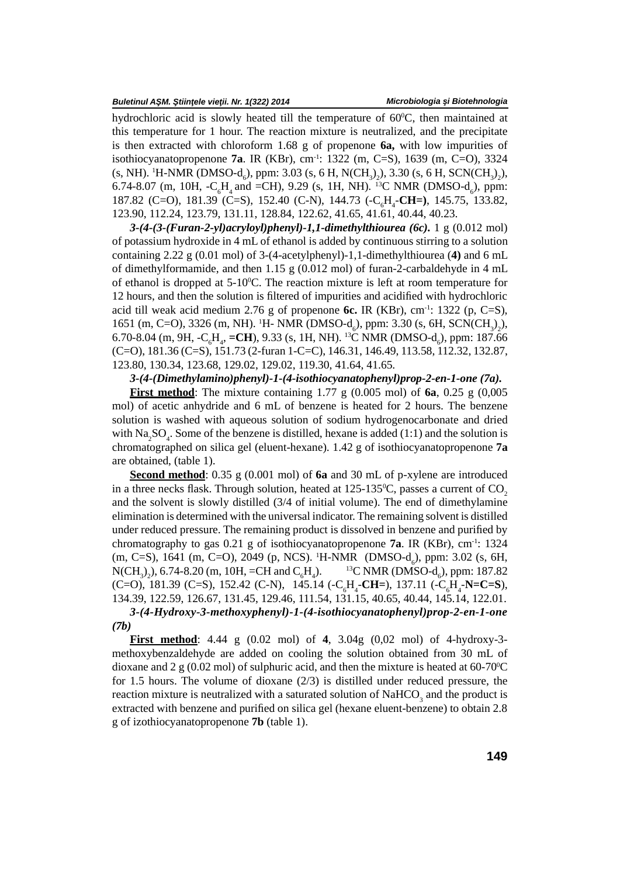hydrochloric acid is slowly heated till the temperature of 60°C, then maintained at this temperature for 1 hour. The reaction mixture is neutralized, and the precipitate is then extracted with chloroform 1.68 g of propenone **6a,** with low impurities of isothiocyanatopropenone **7a**. IR (KBr), cm-1: 1322 (m, C=S), 1639 (m, C=O), 3324 (s, NH). <sup>1</sup>H-NMR (DMSO-d<sub>6</sub>), ppm: 3.03 (s, 6 H, N(CH<sub>3</sub>)<sub>2</sub>), 3.30 (s, 6 H, SCN(CH<sub>3</sub>)<sub>2</sub>), 6.74-8.07 (m, 10H,  $-C<sub>6</sub>H<sub>4</sub>$  and  $=CH$ ), 9.29 (s, 1H, NH). <sup>13</sup>C NMR (DMSO-d<sub>6</sub>), ppm: 187.82 (C=O), 181.39 (C=S), 152.40 (C-N), 144.73 (-C<sub>.</sub>H<sub>.</sub>-CH=), 145.75, 133.82, 123.90, 112.24, 123.79, 131.11, 128.84, 122.62, 41.65, 41.61, 40.44, 40.23.

 $3-(4-(3-(Furan-2-yl)acryloyl)phenyl)-1,1-dimethylthiourea (6c).$  1 g  $(0.012 \text{ mol})$ of potassium hydroxide in 4 mL of ethanol is added by continuous stirring to a solution containing 2.22 g (0.01 mol) of 3-(4-acetylphenyl)-1,1-dimethylthiourea (**4)** and 6 mL of dimethylformamide, and then 1.15 g (0.012 mol) of furan-2-carbaldehyde in 4 mL of ethanol is dropped at  $5{\text -}10^0$ C. The reaction mixture is left at room temperature for 12 hours, and then the solution is filtered of impurities and acidified with hydrochloric acid till weak acid medium 2.76 g of propenone  $\epsilon$ . IR (KBr), cm<sup>-1</sup>: 1322 (p, C=S), 1651 (m, C=O), 3326 (m, NH). <sup>1</sup>H- NMR (DMSO-d<sub>6</sub>), ppm: 3.30 (s, 6H, SCN(CH<sub>3</sub>)<sub>2</sub>), 6.70-8.04 (m, 9H, -C<sub>6</sub>H<sub>4</sub>, =**CH**), 9.33 (s, 1H, NH). <sup>13</sup>C NMR (DMSO-d<sub>6</sub>), ppm: 187.66 (C=O), 181.36 (C=S), 151.73 (2-furan 1-C=C), 146.31, 146.49, 113.58, 112.32, 132.87, 123.80, 130.34, 123.68, 129.02, 129.02, 119.30, 41.64, 41.65.

*3-(4-(Dimethylamino)phenyl)-1-(4-isothiocyanatophenyl)prop-2-en-1-one (7a).*

**First method**: The mixture containing 1.77 g  $(0.005 \text{ mol})$  of 6a, 0.25 g  $(0.005 \text{ mol})$ mol) of acetic anhydride and 6 mL of benzene is heated for 2 hours. The benzene solution is washed with aqueous solution of sodium hydrogenocarbonate and dried with  $\text{Na}_2\text{SO}_4$ . Some of the benzene is distilled, hexane is added (1:1) and the solution is chromatographed on silica gel (eluent-hexane). 1.42 g of isothiocyanatopropenone **7a** are obtained, (table 1).

**Second method**: 0.35 g (0.001 mol) of **6a** and 30 mL of p-xylene are introduced in a three necks flask. Through solution, heated at 125-135<sup>o</sup>C, passes a current of  $CO_2$  and the solvent is slowly distilled (3/4 of initial volume). The end of dimethylamine elimination is determined with the universal indicator. The remaining solvent is distilled under reduced pressure. The remaining product is dissolved in benzene and purified by chromatography to gas 0.21 g of isothiocyanatopropenone **7a**. IR (KBr), cm-1: 1324 (m, C=S), 1641 (m, C=O), 2049 (p, NCS). <sup>1</sup>H-NMR (DMSO-d<sub>6</sub>), ppm: 3.02 (s, 6H, N(CH<sub>2</sub>),), 6.74-8.20 (m, 10H, =CH and C<sub>e</sub>H<sub>a</sub>). <sup>13</sup>C NMR (DMSO-d<sub>c</sub>), ppm: 187.82  $N(CH_3)_2$ , 6.74-8.20 (m, 10H, =CH and C<sub>6</sub>H<sub>4</sub>). <sup>13</sup>C NMR (DMSO-d<sub>6</sub>), ppm: 187.82 (C=O), 181.39 (C=S), 152.42 (C-N), 145.14 (-C<sub>c</sub>H<sub>4</sub>-CH=), 137.11 (-C<sub>c</sub>H<sub>4</sub>-N=C=S), 134.39, 122.59, 126.67, 131.45, 129.46, 111.54, 131.15, 40.65, 40.44, 145.14, 122.01. *3-(4-Hydroxy-3-methoxyphenyl)-1-(4-isothiocyanatophenyl)prop-2-en-1-one*

*(7b)*

**First method**: 4.44 g (0.02 mol) of **4**, 3.04g (0,02 mol) of 4-hydroxy-3 methoxybenzaldehyde are added on cooling the solution obtained from 30 mL of dioxane and 2 g (0.02 mol) of sulphuric acid, and then the mixture is heated at  $60\n-70^{\circ}\text{C}$ for 1.5 hours. The volume of dioxane (2/3) is distilled under reduced pressure, the reaction mixture is neutralized with a saturated solution of  $\text{NaHCO}_3$  and the product is extracted with benzene and purified on silica gel (hexane eluent-benzene) to obtain 2.8 g of izothiocyanatopropenone **7b** (table 1).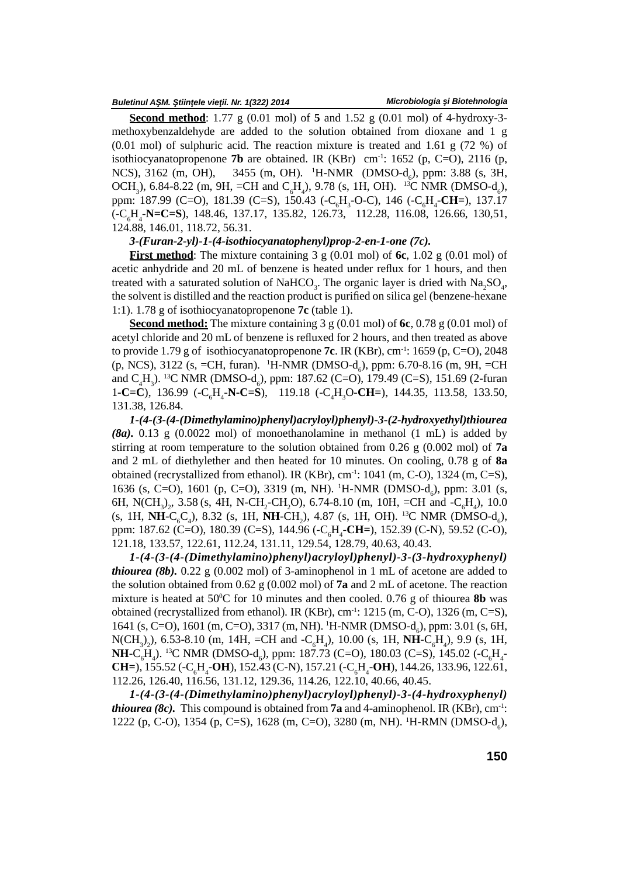#### Buletinul A M. tiin ele vie ii. Nr. 1(322) 2014

**Second method**: 1.77 g (0.01 mol) of **5** and 1.52 g (0.01 mol) of 4-hydroxy-3 methoxybenzaldehyde are added to the solution obtained from dioxane and 1 g  $(0.01 \text{ mol})$  of sulphuric acid. The reaction mixture is treated and 1.61 g (72 %) of isothiocyanatopropenone **7b** are obtained. IR (KBr) cm<sup>-1</sup>: 1652 (p, C=O), 2116 (p, NCS), 3162 (m, OH), 3455 (m, OH). <sup>1</sup>H-NMR (DMSO-d<sub>c</sub>), ppm: 3.88 (s, 3H, OCH<sub>3</sub>), 6.84-8.22 (m, 9H, =CH and C<sub>6</sub>H<sub>a</sub>), 9.78 (s, 1H, OH). <sup>13</sup>C NMR (DMSO-d<sub>6</sub>), ppm: 187.99 (C=O), 181.39 (C=S), 150.43 (-C<sub>c</sub>H<sub>3</sub>-O-C), 146 (-C<sub>c</sub>H<sub>4</sub>-CH=), 137.17 (-C6H4-**N=C=S**), 148.46, 137.17, 135.82, 126.73, 112.28, 116.08, 126.66, 130,51, 124.88, 146.01, 118.72, 56.31.

### *3-(Furan-2-yl)-1-(4-isothiocyanatophenyl)prop-2-en-1-one (7c).*

**First method**: The mixture containing 3 g (0.01 mol) of **6c**, 1.02 g (0.01 mol) of acetic anhydride and 20 mL of benzene is heated under reflux for 1 hours, and then treated with a saturated solution of NaHCO<sub>3</sub>. The organic layer is dried with  $\text{Na}_2\text{SO}_4$ , the solvent is distilled and the reaction product is purified on silica gel (benzene-hexane 1:1). 1.78 g of isothiocyanatopropenone **7c** (table 1).

**Second method:** The mixture containing 3 g (0.01 mol) of **6c**, 0.78 g (0.01 mol) of acetyl chloride and 20 mL of benzene is refluxed for 2 hours, and then treated as above to provide 1.79 g of isothiocyanatopropenone **7c**.IR (KBr), cm-1: 1659 (p, C=O), 2048  $(p, NCS), 3122$  (s, =CH, furan). <sup>1</sup>H-NMR (DMSO-d<sub>c</sub>), ppm: 6.70-8.16 (m, 9H, =CH and  $C_4H_3$ ). <sup>13</sup>C NMR (DMSO-d<sub>c</sub>), ppm: 187.62 (C=O), 179.49 (C=S), 151.69 (2-furan 1**-C=C**), 136.99 (-C<sub>e</sub>H<sub>4</sub>-**N-C=S**), 119.18 (-C<sub>e</sub>H<sub>2</sub>O-CH=), 144.35, 113.58, 133.50, 131.38, 126.84.

*1-(4-(3-(4-(Dimethylamino)phenyl)acryloyl)phenyl)-3-(2-hydroxyethyl)thiourea (8a).* 0.13 g (0.0022 mol) of monoethanolamine in methanol (1 mL) is added by stirring at room temperature to the solution obtained from 0.26 g (0.002 mol) of **7a** and 2 mL of diethylether and then heated for 10 minutes. On cooling, 0.78 g of **8a** obtained (recrystallized from ethanol). IR (KBr),  $cm^{-1}$ : 1041 (m, C-O), 1324 (m, C=S), 1636 (s, C=O), 1601 (p, C=O), 3319 (m, NH). <sup>1</sup>H-NMR (DMSO-d<sub>c</sub>), ppm: 3.01 (s, 6H, N(CH<sub>3</sub>)<sub>2</sub>, 3.58 (s, 4H, N-CH<sub>2</sub>-CH<sub>2</sub>O), 6.74-8.10 (m, 10H, =CH and -C<sub>6</sub>H<sub>4</sub>), 10.0 (s, 1H, **NH**-C<sub>6</sub>C<sub>a</sub>), 8.32 (s, 1H, **NH**-CH<sub>2</sub>), 4.87 (s, 1H, OH). <sup>13</sup>C NMR (DMSO-d<sub>6</sub>), ppm: 187.62 (C=O), 180.39 (C=S), 144.96 (-C6H4-**CH=**), 152.39 (C-N), 59.52 (C-O), 121.18, 133.57, 122.61, 112.24, 131.11, 129.54, 128.79, 40.63, 40.43.

*1-(4-(3-(4-(Dimethylamino)phenyl)acryloyl)phenyl)-3-(3-hydroxyphenyl) thiourea (8b).* 0.22 g (0.002 mol) of 3-aminophenol in 1 mL of acetone are added to the solution obtained from 0.62 g (0.002 mol) of **7a** and 2 mL of acetone. The reaction mixture is heated at 50 $\degree$ C for 10 minutes and then cooled. 0.76 g of thiourea **8b** was obtained (recrystallized from ethanol). IR (KBr),  $cm^{-1}$ : 1215 (m, C-O), 1326 (m, C=S), 1641 (s, C=O), 1601 (m, C=O), 3317 (m, NH). <sup>1</sup>H-NMR (DMSO-d<sub>c</sub>), ppm: 3.01 (s, 6H,  $N(CH_3)_2$ ), 6.53-8.10 (m, 14H, =CH and -C<sub>6</sub>H<sub>4</sub>), 10.00 (s, 1H, **NH**-C<sub>6</sub>H<sub>4</sub>), 9.9 (s, 1H, **NH**-C<sub>6</sub>H<sub>4</sub>). <sup>13</sup>C NMR (DMSO-d<sub>6</sub>), ppm: 187.73 (C=O), 180.03 (C=S), 145.02 (-C<sub>6</sub>H<sub>4</sub>-**CH**=), 155.52 (-C<sub>1</sub>H<sub>-</sub>**OH**), 152.43 (C-N), 157.21 (-C<sub>1</sub>H<sub>-</sub>**OH**), 144.26, 133.96, 122.61, 112.26, 126.40, 116.56, 131.12, 129.36, 114.26, 122.10, 40.66, 40.45.

*1-(4-(3-(4-(Dimethylamino)phenyl)acryloyl)phenyl)-3-(4-hydroxyphenyl) thiourea (8c).* This compound is obtained from **7a** and 4-aminophenol. IR (KBr),  $cm^{-1}$ : 1222 (p, C-O), 1354 (p, C=S), 1628 (m, C=O), 3280 (m, NH). <sup>1</sup>H-RMN (DMSO-d<sub>c</sub>),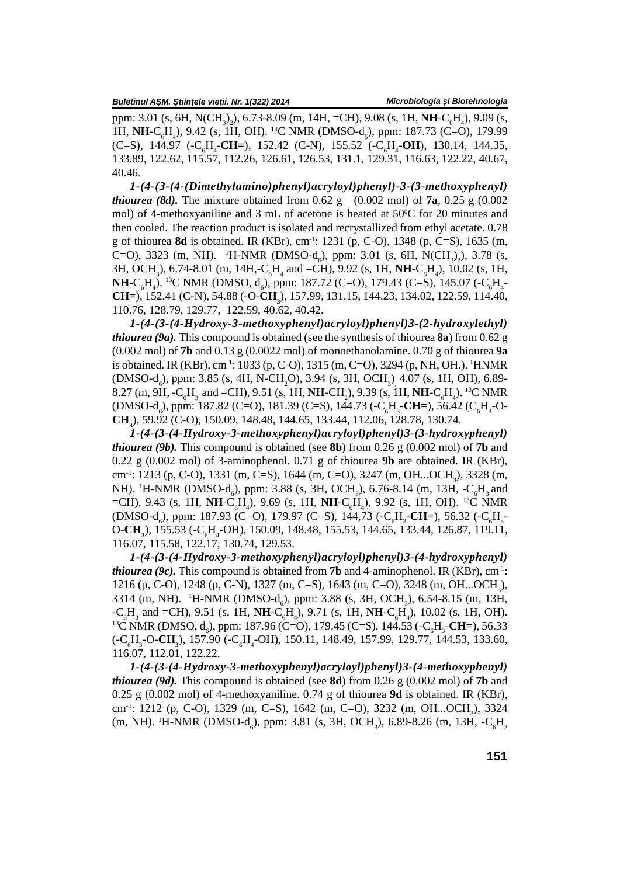ppm: 3.01 (s, 6H, N(CH<sub>3</sub>)<sub>2</sub>), 6.73-8.09 (m, 14H, =CH), 9.08 (s, 1H, **NH**-C<sub>6</sub>H<sub>4</sub>), 9.09 (s, 1H, NH-C<sub>H</sub>, 9.42 (s, 1H, OH). <sup>13</sup>C NMR (DMSO-d<sub>c</sub>), ppm: 187.73 (C=O), 179.99 (C=S), 144.97 (-C<sub>c</sub>H<sub>4</sub>-CH=), 152.42 (C-N), 155.52 (-C<sub>c</sub>H<sub>4</sub>-OH), 130.14, 144.35, 133.89, 122.62, 115.57, 112.26, 126.61, 126.53, 131.1, 129.31, 116.63, 122.22, 40.67, 40.46.

*1-(4-(3-(4-(Dimethylamino)phenyl)acryloyl)phenyl)-3-(3-methoxyphenyl) thiourea (8d).* The mixture obtained from  $0.62 \text{ g}$  (0.002 mol) of **7a**, 0.25 g (0.002) mol) of 4-methoxyaniline and 3 mL of acetone is heated at  $50^{\circ}$ C for 20 minutes and then cooled. The reaction product is isolated and recrystallized from ethyl acetate. 0.78 g of thiourea **8d** is obtained. IR (KBr), cm-1: 1231 (p, C-O), 1348 (p, C=S), 1635 (m, C=O), 3323 (m, NH). <sup>1</sup>H-NMR (DMSO-d<sub>6</sub>), ppm: 3.01 (s, 6H, N(CH<sub>3</sub>)<sub>2</sub>), 3.78 (s, 3H, OCH<sub>3</sub>), 6.74-8.01 (m, 14H,-C<sub>6</sub>H<sub>4</sub> and =CH), 9.92 (s, 1H, **NH**-C<sub>6</sub>H<sub>4</sub>), 10.02 (s, 1H, **NH**-C<sub>6</sub>H<sub>4</sub>). <sup>13</sup>C NMR (DMSO, d<sub>6</sub>), ppm: 187.72 (C=O), 179.43 (C=S), 145.07 (-C<sub>6</sub>H<sub>4</sub>-**CH**=), 152.41 (C-N), 54.88 (-O-**CH**<sub>4</sub>), 157.99, 131.15, 144.23, 134.02, 122.59, 114.40, 110.76, 128.79, 129.77, 122.59, 40.62, 40.42.

*1-(4-(3-(4-Hydroxy-3-methoxyphenyl)acryloyl)phenyl)3-(2-hydroxylethyl) thiourea (9a).* This compound is obtained (see the synthesis of thiourea **8a**) from 0.62 g (0.002 mol) of **7b** and 0.13 g (0.0022 mol) of monoethanolamine. 0.70 g of thiourea **9a** is obtained. IR (KBr), cm<sup>-1</sup>: 1033 (p, C-O), 1315 (m, C=O), 3294 (p, NH, OH.). <sup>1</sup>HNMR  $(DMSO-d_6)$ , ppm: 3.85 (s, 4H, N-CH<sub>2</sub>O), 3.94 (s, 3H, OCH<sub>3</sub>)<sub>,</sub> 4.07 (s, 1H, OH), 6.89-8.27 (m, 9H, -C<sub>6</sub>H<sub>3</sub> and =CH), 9.51 (s, 1H, **NH**-CH<sub>2</sub>), 9.39 (s, 1H, **NH**-C<sub>6</sub>H<sub>4</sub>). <sup>13</sup>C NMR (DMSO-d<sub>c</sub>), ppm: 187.82 (C=O), 181.39 (C=S), 144.73 (-C<sub>cH<sub>3</sub>-CH=), 56.42 (C<sub>H<sub>3</sub>-O-</sub></sub> **CH3**), 59.92 (C-O), 150.09, 148.48, 144.65, 133.44, 112.06, 128.78, 130.74.

*1-(4-(3-(4-Hydroxy-3-methoxyphenyl)acryloyl)phenyl)3-(3-hydroxyphenyl) thiourea (9b).* This compound is obtained (see **8b**) from 0.26 g (0.002 mol) of **7b** and 0.22 g (0.002 mol) of 3-aminophenol. 0.71 g of thiourea **9b** are obtained. IR (KBr), cm<sup>-1</sup>: 1213 (p, C-O), 1331 (m, C=S), 1644 (m, C=O), 3247 (m, OH...OCH<sub>2</sub>), 3328 (m, NH). <sup>1</sup>H-NMR (DMSO-d<sub>c</sub>), ppm: 3.88 (s, 3H, OCH<sub>2</sub>), 6.76-8.14 (m, 13H, -C<sub>c</sub>H<sub>3</sub> and =CH), 9.43 (s, 1H, **NH**-C<sub>6</sub>H<sub>4</sub>), 9.69 (s, 1H, **NH**-C<sub>6</sub>H<sub>4</sub>), 9.92 (s, 1H, OH). <sup>13</sup>C NMR (DMSO-d<sub>6</sub>), ppm: 187.93 (C=O), 179.97 (C=S), 144,73 (-C<sub>6</sub>H<sub>3</sub>-**CH**=), 56.32 (-C<sub>6</sub>H<sub>3</sub>- O-**CH**), 155.53 (-C<sub>6</sub>H<sub>3</sub>-O-CH<sub>1</sub>), 155.53 (-C<sub>6</sub>H<sub>3</sub>-O+C<sub>6</sub>H<sub>2</sub>-OH), 150.09, 148.48, 155.53, 144.65, 133.44, 126.87, 119.11, 116.07, 115.58, 122.17, 130.74, 129.53.

*1-(4-(3-(4-Hydroxy-3-methoxyphenyl)acryloyl)phenyl)3-(4-hydroxyphenyl) thiourea (9c).* This compound is obtained from **7b** and 4-aminophenol. IR (KBr), cm<sup>-1</sup>: 1216 (p, C-O), 1248 (p, C-N), 1327 (m, C=S), 1643 (m, C=O), 3248 (m, OH...OCH<sub>2</sub>), 3314 (m, NH). <sup>1</sup>H-NMR (DMSO-d<sub>c</sub>), ppm: 3.88 (s, 3H, OCH<sub>2</sub>), 6.54-8.15 (m, 13H, -C<sub>6</sub>H<sub>3</sub> and =CH), 9.51 (s, 1H, **NH**-C<sub>6</sub>H<sub>4</sub>), 9.71 (s, 1H, **NH**-C<sub>6</sub>H<sub>4</sub>), 10.02 (s, 1H, OH).<br><sup>13</sup>C NMR (DMSO, d<sub>6</sub>), ppm: 187.96 (C=O), 179.45 (C=S), 144.53 (-C<sub>6</sub>H<sub>3</sub>-**CH**=), 56.33 (-C<sub>s</sub>H<sub>3</sub>-O-**CH**<sub>3</sub>), 157.90 (-C<sub>s</sub>H<sub>4</sub>-OH), 150.11, 148.49, 157.99, 129.77, 144.53, 133.60, 116.07, 112.01, 122.22.

*1-(4-(3-(4-Hydroxy-3-methoxyphenyl)acryloyl)phenyl)3-(4-methoxyphenyl) thiourea (9d).* This compound is obtained (see **8d**) from 0.26 g (0.002 mol) of **7b** and 0.25 g (0.002 mol) of 4-methoxyaniline. 0.74 g of thiourea **9d** is obtained. IR (KBr), cm<sup>-1</sup>: 1212 (p, C-O), 1329 (m, C=S), 1642 (m, C=O), 3232 (m, OH...OCH<sub>2</sub>), 3324 (m, NH). <sup>1</sup>H-NMR (DMSO-d<sub>c</sub>), ppm: 3.81 (s, 3H, OCH<sub>2</sub>), 6.89-8.26 (m, 13H, -C<sub>c</sub>H<sub>2</sub>)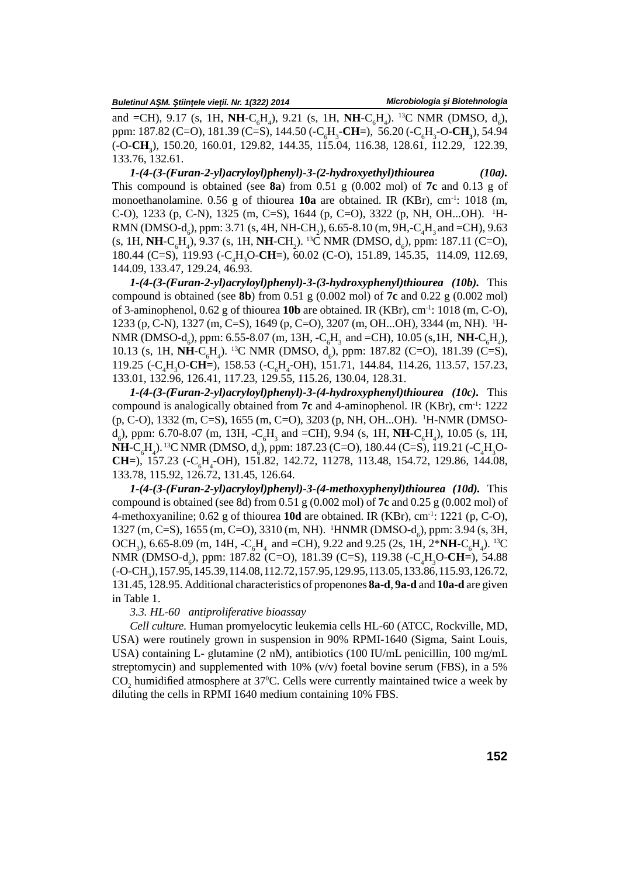and =CH), 9.17 (s, 1H, NH-C<sub>6</sub>H<sub>4</sub>), 9.21 (s, 1H, NH-C<sub>6</sub>H<sub>4</sub>). <sup>13</sup>C NMR (DMSO, d<sub>6</sub>), ppm: 187.82 (C=O), 181.39 (C=S), 144.50 (-C6H3-**CH=**), 56.20 (-C6H3-O-**CH3**), 54.94 (-O-**CH3**), 150.20, 160.01, 129.82, 144.35, 115.04, 116.38, 128.61, 112.29, 122.39, 133.76, 132.61.

*1-(4-(3-(Furan-2-yl)acryloyl)phenyl)-3-(2-hydroxyethyl)thiourea (10a).* This compound is obtained (see **8a**) from 0.51 g (0.002 mol) of **7c** and 0.13 g of monoethanolamine. 0.56 g of thiourea **10a** are obtained. IR (KBr), cm<sup>-1</sup>: 1018 (m, C-O), 1233 (p, C-N), 1325 (m, C=S), 1644 (p, C=O), 3322 (p, NH, OH...OH). <sup>1</sup>H-RMN (DMSO-d<sub>c</sub>), ppm: 3.71 (s, 4H, NH-CH<sub>2</sub>), 6.65-8.10 (m, 9H,-C<sub>4</sub>H<sub>3</sub> and =CH), 9.63  $(s, 1H, NH-C<sub>s</sub>H<sub>a</sub>)$ , 9.37 (s, 1H, NH-CH<sub>2</sub>). <sup>13</sup>C NMR (DMSO, d<sub>c</sub>), ppm: 187.11 (C=O), 180.44 (C=S), 119.93 (-C4H3O-**CH=**), 60.02 (C-O), 151.89, 145.35, 114.09, 112.69, 144.09, 133.47, 129.24, 46.93.

*1-(4-(3-(Furan-2-yl)acryloyl)phenyl)-3-(3-hydroxyphenyl)thiourea (10b).* This compound is obtained (see **8b**) from 0.51 g (0.002 mol) of **7c** and 0.22 g (0.002 mol) of 3-aminophenol, 0.62 g of thiourea **10b** are obtained. IR (KBr), cm-1: 1018 (m, C-O), 1233 (p, C-N), 1327 (m, C=S), 1649 (p, C=O), 3207 (m, OH...OH), 3344 (m, NH). <sup>1</sup>H-NMR (DMSO- $d_6$ ), ppm: 6.55-8.07 (m, 13H, -C<sub>6</sub>H<sub>3</sub> and =CH), 10.05 (s,1H, **NH**-C<sub>6</sub>H<sub>4</sub>), 10.13 (s, 1H, NH-C<sub>H</sub>, <sup>13</sup>C NMR (DMSO, d<sub>c</sub>), ppm: 187.82 (C=O), 181.39 (C=S), 119.25 (-C<sub>1</sub>H<sub>2</sub>O-**CH**=), 158.53 (-C<sub>4</sub>H<sub>4</sub>-OH), 151.71, 144.84, 114.26, 113.57, 157.23, 133.01, 132.96, 126.41, 117.23, 129.55, 115.26, 130.04, 128.31.

*1-(4-(3-(Furan-2-yl)acryloyl)phenyl)-3-(4-hydroxyphenyl)thiourea (10c).* This compound is analogically obtained from **7c** and 4-aminophenol. IR (KBr), cm-1: 1222 (p, C-O), 1332 (m, C=S), 1655 (m, C=O), 3203 (p, NH, OH...OH). <sup>1</sup>H-NMR (DMSO $d_6$ ), ppm: 6.70-8.07 (m, 13H,  $-C_6H_3$  and  $=CH$ ), 9.94 (s, 1H, **NH**-C<sub>6</sub>H<sub>4</sub>), 10.05 (s, 1H, **NH**-C<sub>c</sub>H<sub>1</sub>). <sup>13</sup>C NMR (DMSO, d<sub>c</sub>), ppm: 187.23 (C=O), 180.44 (C=S), 119.21 (-C<sub>n</sub>H<sub>2</sub>O-**CH=**), 157.23 (-C6H4-OH), 151.82, 142.72, 11278, 113.48, 154.72, 129.86, 144.08, 133.78, 115.92, 126.72, 131.45, 126.64.

*1-(4-(3-(Furan-2-yl)acryloyl)phenyl)-3-(4-methoxyphenyl)thiourea (10d).* This compound is obtained (see 8d) from 0.51 g (0.002 mol) of **7c** and 0.25 g (0.002 mol) of 4-methoxyaniline; 0.62 g of thiourea **10d** are obtained. IR (KBr), cm-1: 1221 (p, C-O), 1327 (m, C=S), 1655 (m, C=O), 3310 (m, NH). <sup>1</sup>HNMR (DMSO-d<sub>c</sub>), ppm: 3.94 (s, 3H, OCH<sub>3</sub>), 6.65-8.09 (m, 14H,  $-C_6H_4$  and =CH), 9.22 and 9.25 (2s, 1H, 2\*NH-C<sub>6</sub>H<sub>4</sub>). <sup>13</sup>C NMR (DMSO-d<sub>c</sub>), ppm: 187.82 (C=O), 181.39 (C=S), 119.38 (-C<sub>a</sub>H<sub>3</sub>O-CH=), 54.88 (-O-CH3), 157.95, 145.39, 114.08, 112.72, 157.95, 129.95, 113.05, 133.86, 115.93, 126.72, 131.45, 128.95. Additional characteristics of propenones **8a-d**, **9a-d** and **10a-d** are given in Table 1.

### *3.3. HL-60 antiproliferative bioassay*

*Cell culture.* Human promyelocytic leukemia cells HL-60 (ATCC, Rockville, MD, USA) were routinely grown in suspension in 90% RPMI-1640 (Sigma, Saint Louis, USA) containing L- glutamine (2 nM), antibiotics (100 IU/mL penicillin, 100 mg/mL streptomycin) and supplemented with  $10\%$  (v/v) foetal bovine serum (FBS), in a 5%  $\text{CO}_2$  humidified atmosphere at 37°C. Cells were currently maintained twice a week by diluting the cells in RPMI 1640 medium containing 10% FBS.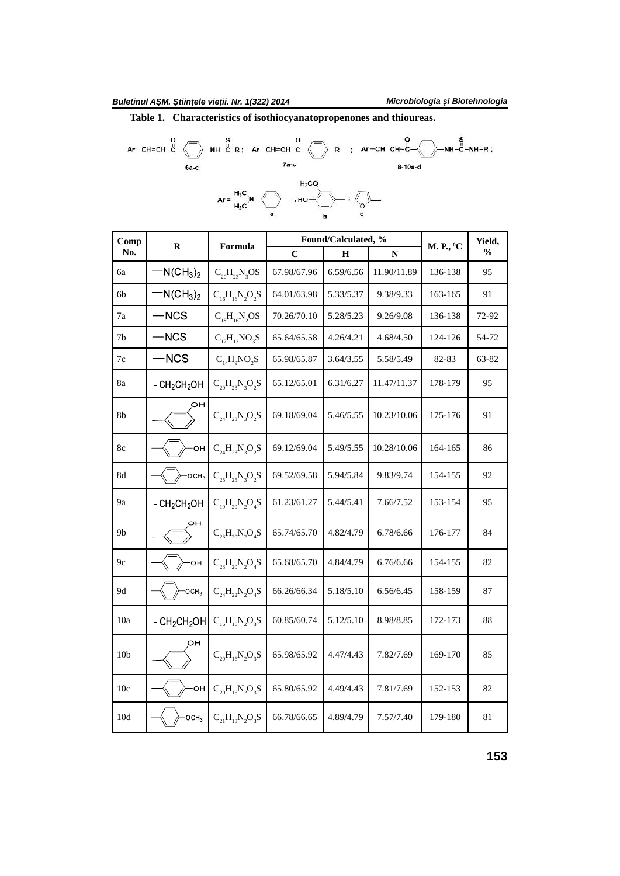**Table 1. Characteristics of isothiocyanatopropenones and thioureas.**

Ar-CH=CH-C<br>
NH-C-R; Ar-CH=CH-C<br>
Fa-c<br>  $A = H_3C$ <br>
Ar =  $H_3C$ <br>
Ar =  $H_3C$ <br>
Ar =  $H_3C$ <br>
Ar =  $H_3C$ <br>
Ar =  $H_3C$ <br>
Ar =  $H_3C$ 



| Comp            | $\mathbf R$      | Formula                   |             | Found/Calculated, % |             | M. P., <sup>0</sup> C | Yield,        |
|-----------------|------------------|---------------------------|-------------|---------------------|-------------|-----------------------|---------------|
| No.             |                  |                           | $\mathbf C$ | $\bf H$             | ${\bf N}$   |                       | $\frac{0}{0}$ |
| 6a              | $N(CH_3)_2$      | $C_{20}H_{23}N_{3}OS$     | 67.98/67.96 | 6.59/6.56           | 11.90/11.89 | 136-138               | 95            |
| 6b              | $N(CH_3)_2$      | $C_{16}H_{16}N_{2}O_{2}S$ | 64.01/63.98 | 5.33/5.37           | 9.38/9.33   | 163-165               | 91            |
| 7a              | -NCS             | $C_{18}H_{16}N_2OS$       | 70.26/70.10 | 5.28/5.23           | 9.26/9.08   | 136-138               | 72-92         |
| 7b              | -NCS             | $C_{17}H_{13}NO_3S$       | 65.64/65.58 | 4.26/4.21           | 4.68/4.50   | 124-126               | 54-72         |
| $7\mathrm{c}$   | <b>NCS</b>       | $C_{14}H_9NO_2S$          | 65.98/65.87 | 3.64/3.55           | 5.58/5.49   | 82-83                 | 63-82         |
| 8a              | $-CH2CH2OH$      | $C_{20}H_{23}N_{3}O_{2}S$ | 65.12/65.01 | 6.31/6.27           | 11.47/11.37 | 178-179               | 95            |
| 8 <sub>b</sub>  | OН               | $C_{24}H_{23}N_{3}O_{2}S$ | 69.18/69.04 | 5.46/5.55           | 10.23/10.06 | 175-176               | 91            |
| 8c              | OН               | $C_{24}H_{23}N_{3}O_{2}S$ | 69.12/69.04 | 5.49/5.55           | 10.28/10.06 | 164-165               | 86            |
| 8d              | OCH <sub>3</sub> | $C_{25}H_{25}N_{3}O_{2}S$ | 69.52/69.58 | 5.94/5.84           | 9.83/9.74   | 154-155               | 92            |
| 9a              | $-CH2CH2OH$      | $C_{19}H_{20}N_2O_4S$     | 61.23/61.27 | 5.44/5.41           | 7.66/7.52   | 153-154               | 95            |
| 9b              | OН               | $C_{23}H_{20}N_2O_4S$     | 65.74/65.70 | 4.82/4.79           | 6.78/6.66   | 176-177               | 84            |
| 9c              | OH               | $C_{23}H_{20}N_{2}O_{4}S$ | 65.68/65.70 | 4.84/4.79           | 6.76/6.66   | 154-155               | 82            |
| 9d              | OCH <sub>3</sub> | $C_{24}H_{22}N_{2}O_{4}S$ | 66.26/66.34 | 5.18/5.10           | 6.56/6.45   | 158-159               | 87            |
| 10a             | $-CH2CH2OH$      | $C_{16}H_{16}N_2O_3S$     | 60.85/60.74 | 5.12/5.10           | 8.98/8.85   | 172-173               | 88            |
| 10 <sub>b</sub> | ОН               | $C_{20}H_{16}N_{2}O_{3}S$ | 65.98/65.92 | 4.47/4.43           | 7.82/7.69   | 169-170               | 85            |
| 10c             | ЮH               | $C_{20}H_{16}N_{2}O_{3}S$ | 65.80/65.92 | 4.49/4.43           | 7.81/7.69   | 152-153               | 82            |
| 10d             | OCH <sub>3</sub> | $C_{21}H_{18}N_2O_3S$     | 66.78/66.65 | 4.89/4.79           | 7.57/7.40   | 179-180               | 81            |

**153**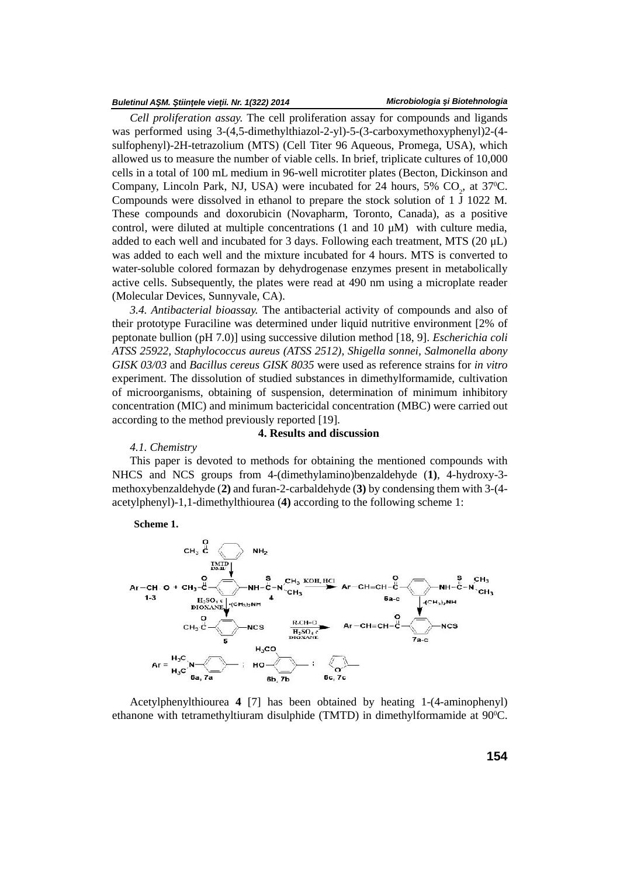#### *Buletinul A M. tiin ele vie ii. Nr. 1(322) 2014*

*Cell proliferation assay.* The cell proliferation assay for compounds and ligands was performed using 3-(4,5-dimethylthiazol-2-yl)-5-(3-carboxymethoxyphenyl)2-(4 sulfophenyl)-2H-tetrazolium (MTS) (Cell Titer 96 Aqueous, Promega, USA), which allowed us to measure the number of viable cells. In brief, triplicate cultures of 10,000 cells in a total of 100 mL medium in 96-well microtiter plates (Becton, Dickinson and Company, Lincoln Park, NJ, USA) were incubated for 24 hours, 5%  $CO<sub>2</sub>$ , at 37<sup>o</sup>C. Compounds were dissolved in ethanol to prepare the stock solution of 1 – 1022 M. These compounds and doxorubicin (Novapharm, Toronto, Canada), as a positive control, were diluted at multiple concentrations  $(1 \text{ and } 10 \mu M)$  with culture media, added to each well and incubated for 3 days. Following each treatment, MTS  $(20 \mu L)$ was added to each well and the mixture incubated for 4 hours. MTS is converted to water-soluble colored formazan by dehydrogenase enzymes present in metabolically active cells. Subsequently, the plates were read at 490 nm using a microplate reader (Molecular Devices, Sunnyvale, CA).

*3.4. Antibacterial bioassay.* The antibacterial activity of compounds and also of their prototype Furaciline was determined under liquid nutritive environment [2% of peptonate bullion (pH 7.0)] using successive dilution method [18, 9]. *Escherichia coli ATSS 25922, Staphylococcus aureus (ATSS 2512), Shigella sonnei, Salmonella abony GISK 03/03* and *Bacillus cereus GISK 8035* were used as reference strains for *in vitro* experiment. The dissolution of studied substances in dimethylformamide, cultivation of microorganisms, obtaining of suspension, determination of minimum inhibitory concentration (MIC) and minimum bactericidal concentration (MBC) were carried out according to the method previously reported [19].

## **4. Results and discussion**

### *4.1. Chemistry*

This paper is devoted to methods for obtaining the mentioned compounds with NHCS and NCS groups from 4-(dimethylamino)benzaldehyde (**1)**, 4-hydroxy-3 methoxybenzaldehyde (**2)** and furan-2-carbaldehyde (**3)** by condensing them with 3-(4 acetylphenyl)-1,1-dimethylthiourea (**4)** according to the following scheme 1:



Acetylphenylthiourea **4** [7] has been obtained by heating 1-(4-aminophenyl) ethanone with tetramethyltiuram disulphide (TMTD) in dimethylformamide at 90°C.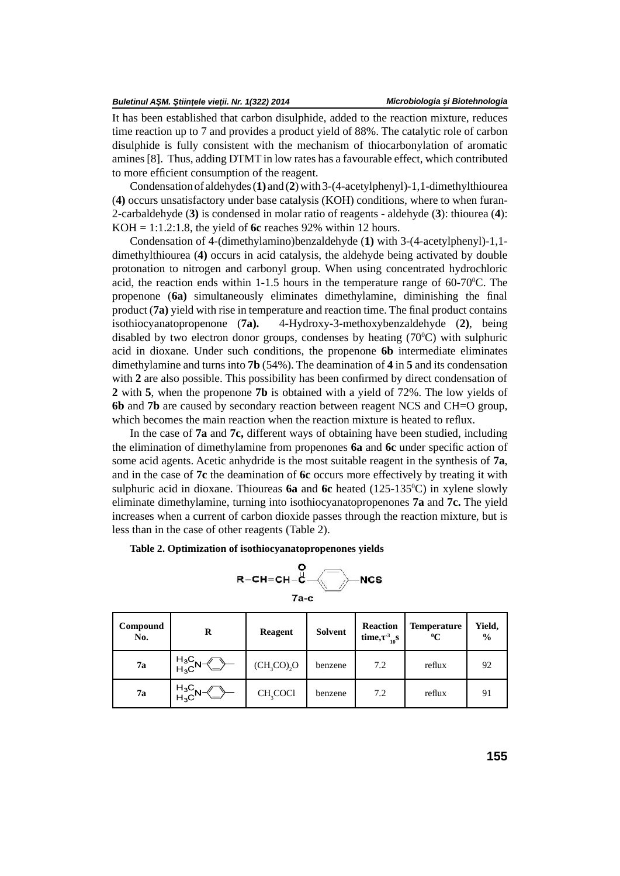It has been established that carbon disulphide, added to the reaction mixture, reduces time reaction up to 7 and provides a product yield of 88%. The catalytic role of carbon disulphide is fully consistent with the mechanism of thiocarbonylation of aromatic amines [8]. Thus, adding DTMT in low rates has a favourable effect, which contributed to more efficient consumption of the reagent.

Condensation of aldehydes (**1)** and (**2**) with 3-(4-acetylphenyl)-1,1-dimethylthiourea (**4)** occurs unsatisfactory under base catalysis (KOH) conditions, where to when furan-2-carbaldehyde (**3)** is condensed in molar ratio of reagents - aldehyde (**3**): thiourea (**4**): KOH = 1:1.2:1.8, the yield of **6c** reaches 92% within 12 hours.

Condensation of 4-(dimethylamino)benzaldehyde (**1)** with 3-(4-acetylphenyl)-1,1 dimethylthiourea (**4)** occurs in acid catalysis, the aldehyde being activated by double protonation to nitrogen and carbonyl group. When using concentrated hydrochloric acid, the reaction ends within 1-1.5 hours in the temperature range of  $60-70^{\circ}$ C. The propenone (6a) simultaneously eliminates dimethylamine, diminishing the final product (**7a**) yield with rise in temperature and reaction time. The final product contains isothiocyanatopropenone (**7a).** 4-Hydroxy-3-methoxybenzaldehyde (**2)**, being disabled by two electron donor groups, condenses by heating  $(70^{\circ}$ C) with sulphuric acid in dioxane. Under such conditions, the propenone **6b** intermediate eliminates dimethylamine and turns into **7b** (54%). The deamination of **4** in **5** and its condensation with 2 are also possible. This possibility has been confirmed by direct condensation of **2** with **5**, when the propenone **7b** is obtained with a yield of 72%. The low yields of **6b** and **7b** are caused by secondary reaction between reagent NCS and CH=O group, which becomes the main reaction when the reaction mixture is heated to reflux.

In the case of **7a** and **7c,** different ways of obtaining have been studied, including the elimination of dimethylamine from propenones **6a** and **6c** under specific action of some acid agents. Acetic anhydride is the most suitable reagent in the synthesis of **7a**, and in the case of **7c** the deamination of **6c** occurs more effectively by treating it with sulphuric acid in dioxane. Thioureas **6a** and **6c** heated (125-1350C) in xylene slowly eliminate dimethylamine, turning into isothiocyanatopropenones **7a** and **7c.** The yield increases when a current of carbon dioxide passes through the reaction mixture, but is less than in the case of other reagents (Table 2).

**Table 2. Optimization of isothiocyanatopropenones yields**

$$
\begin{array}{c}\n\mathsf{R}\text{-}\mathsf{CH}\text{-}\mathsf{CH}\text{-}\mathsf{C}\text{-}\mathsf{NCS} \\
\hline\n\mathsf{R}\text{-}\mathsf{CH}\text{-}\mathsf{CH}\text{-}\mathsf{C}\mathsf{S}\n\end{array}
$$

| Compound<br>No. | R                                                                             | <b>Reagent</b>       | Solvent | <b>Reaction</b><br>time, $\frac{3}{10}S$ | <b>Temperature</b><br>$\rm ^0C$ | Yield,<br>$\frac{0}{0}$ |
|-----------------|-------------------------------------------------------------------------------|----------------------|---------|------------------------------------------|---------------------------------|-------------------------|
| 7a              | $H_3C N^-$<br>$H_3C$                                                          | $(CH3CO2O3O$         | benzene | 7.2                                      | reflux                          | 92                      |
| 7а              | $H_3C$ N $\rightarrow$ H <sub>3</sub> C <sup>N-<math>\rightarrow</math></sup> | CH <sub>2</sub> COCI | benzene | 7.2                                      | reflux                          | 91                      |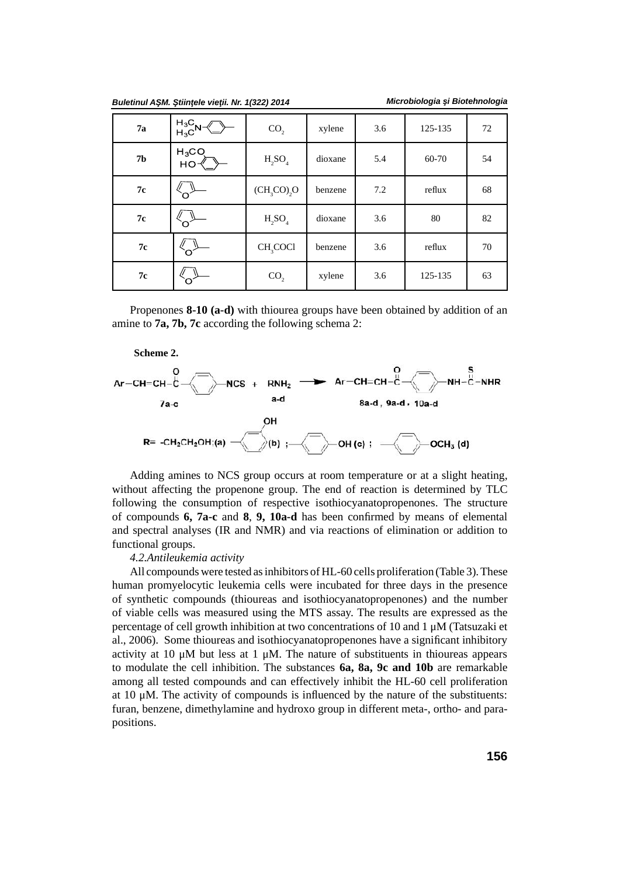| Buletinul A M. tiin ele vie ii. Nr. 1(322) 2014 |  |  |  |  |
|-------------------------------------------------|--|--|--|--|
|-------------------------------------------------|--|--|--|--|

|  | Microbiologia i Biotehnologia |
|--|-------------------------------|
|--|-------------------------------|

| 7a            | $H_3C_N \ll H_3C$ | CO <sub>2</sub>      | xylene  | 3.6 | 125-135 | 72 |
|---------------|-------------------|----------------------|---------|-----|---------|----|
| ${\bf 7b}$    | $H_3CO$<br>HO-    | $H_2SO_4$            | dioxane | 5.4 | 60-70   | 54 |
| $7\mathrm{c}$ |                   | $(CH3CO2O3O$         | benzene | 7.2 | reflux  | 68 |
| $7\mathrm{c}$ |                   | $H_2SO_4$            | dioxane | 3.6 | 80      | 82 |
| 7c            |                   | CH <sub>3</sub> COCl | benzene | 3.6 | reflux  | 70 |
| $7\mathrm{c}$ |                   | CO <sub>2</sub>      | xylene  | 3.6 | 125-135 | 63 |

Propenones **8-10 (a-d)** with thiourea groups have been obtained by addition of an amine to **7a, 7b, 7c** according the following schema 2:



Adding amines to NCS group occurs at room temperature or at a slight heating, without affecting the propenone group. The end of reaction is determined by TLC following the consumption of respective isothiocyanatopropenones. The structure of compounds **6, 7a-c** and **8**, 9, 10a-d has been confirmed by means of elemental and spectral analyses (IR and NMR) and via reactions of elimination or addition to functional groups.

### *4.2.Antileukemia activity*

All compounds were tested as inhibitors of HL-60 cells proliferation (Table 3). These human promyelocytic leukemia cells were incubated for three days in the presence of synthetic compounds (thioureas and isothiocyanatopropenones) and the number of viable cells was measured using the MTS assay. The results are expressed as the percentage of cell growth inhibition at two concentrations of 10 and 1 μM (Tatsuzaki et al., 2006). Some thioureas and isothiocyanatopropenones have a significant inhibitory activity at 10  $\mu$ M but less at 1  $\mu$ M. The nature of substituents in thioureas appears to modulate the cell inhibition. The substances **6a, 8a, 9c and 10b** are remarkable among all tested compounds and can effectively inhibit the HL-60 cell proliferation at 10  $\mu$ M. The activity of compounds is influenced by the nature of the substituents: furan, benzene, dimethylamine and hydroxo group in different meta-, ortho- and parapositions.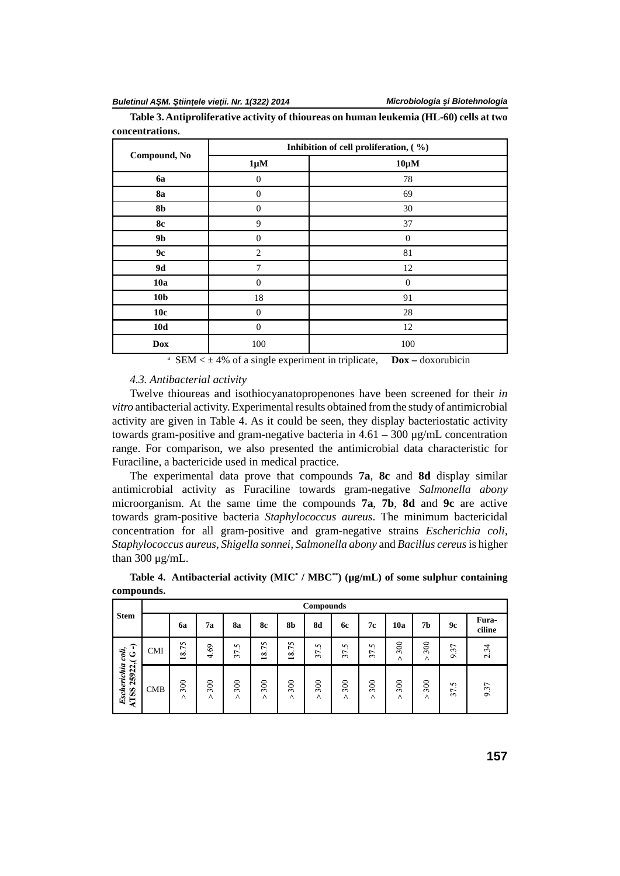|                 |                  | Inhibition of cell proliferation, (%) |
|-----------------|------------------|---------------------------------------|
| Compound, No    | $1 \mu M$        | $10 \mu M$                            |
| 6a              | $\mathbf{0}$     | 78                                    |
| <b>8a</b>       | $\theta$         | 69                                    |
| 8 <sub>b</sub>  | $\Omega$         | $30\,$                                |
| <b>8c</b>       | 9                | 37                                    |
| 9 <b>b</b>      | $\Omega$         | $\theta$                              |
| 9c              | $\overline{c}$   | 81                                    |
| 9d              | $\overline{7}$   | 12                                    |
| 10a             | $\Omega$         | $\overline{0}$                        |
| 10 <sub>b</sub> | 18               | 91                                    |
| 10c             | $\Omega$         | 28                                    |
| 10d             | $\boldsymbol{0}$ | 12                                    |
| <b>Dox</b>      | 100              | 100                                   |

**Table 3. Antiproliferative activity of thioureas on human leukemia (HL-60) cells at two concentrations.**

<sup>a</sup> SEM <  $\pm$  4% of a single experiment in triplicate, **Dox** – doxorubicin

# *4.3. Antibacterial activity*

Twelve thioureas and isothiocyanatopropenones have been screened for their *in vitro* antibacterial activity. Experimental results obtained from the study of antimicrobial activity are given in Table 4. As it could be seen, they display bacteriostatic activity towards gram-positive and gram-negative bacteria in  $4.61 - 300 \mu g/mL$  concentration range. For comparison, we also presented the antimicrobial data characteristic for Furaciline, a bactericide used in medical practice.

The experimental data prove that compounds **7a**, **8c** and **8d** display similar antimicrobial activity as Furaciline towards gram-negative *Salmonella abony* microorganism. At the same time the compounds **7a**, **7b**, **8d** and **9c** are active towards gram-positive bacteria *Staphylococcus aureus*. The minimum bactericidal concentration for all gram-positive and gram-negative strains *Escherichia coli, Staphylococcus aureus, Shigella sonnei, Salmonella abony* and *Bacillus cereus*is higher than 300 μg/mL.

|                                        |            |                                         |          |          |                                |                                            | <b>Compounds</b> |          |                         |          |                 |                             |                 |
|----------------------------------------|------------|-----------------------------------------|----------|----------|--------------------------------|--------------------------------------------|------------------|----------|-------------------------|----------|-----------------|-----------------------------|-----------------|
| <b>Stem</b>                            |            | 6a                                      | 7a       | 8a       | <b>8c</b>                      | 8b                                         | 8d               | 6с       | 7с                      | 10a      | 7b              | 9с                          | Fura-<br>ciline |
| ∩<br>coli,<br>ن                        | <b>CMI</b> | $\sim$<br>r.<br>$\sim$<br>$\infty$<br>− | 4.69     | S<br>37  | $\tilde{c}$<br>$\overline{18}$ | 75<br>$\infty$<br>$\overline{\phantom{0}}$ | S<br>37.         | S<br>37. | $\sim$<br>$\sim$<br>37. | 300<br>Λ | 300<br>$\wedge$ | ↽<br>3<br>G,                | 2.34            |
| 25922,(<br>Escherichia<br>ATSS 25922,( | <b>CMB</b> | 300<br>Λ                                | 300<br>Λ | 300<br>Λ | 300<br>Λ                       | 300<br>$\wedge$                            | 300<br>Λ         | 300<br>Λ | 300<br>Λ                | 300<br>Λ | 300<br>$\wedge$ | S<br>$\cdot$<br>L<br>$\sim$ | 9.37            |

**Table 4. Antibacterial activity (MIC\* / MBC\*\*) (µg/mL) of some sulphur containing compounds.**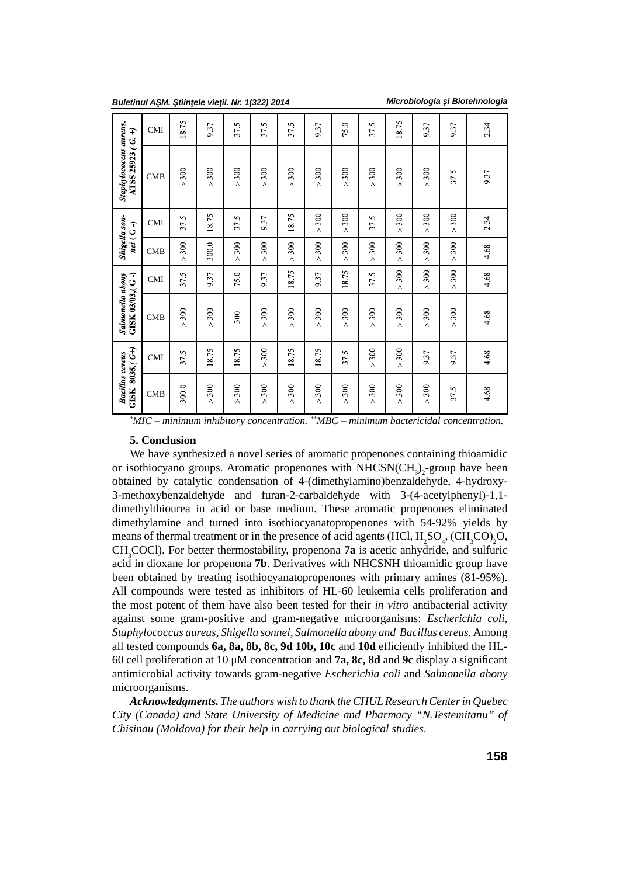|  |  | Buletinul A M. tiin ele vie ii. Nr. 1(322) 2014 |  |
|--|--|-------------------------------------------------|--|
|--|--|-------------------------------------------------|--|

*Microbiologia i Biotehnologia* 

| $GISK 8035, (G+)$<br><b>Bacillus cereus</b> |                 | Salmonella abony<br>$GISK 03/03$ , $(G - )$ |                 | nei (G-)                   | Shigella son-   | Staphylococcus aureus,<br>ATSS 25923 (G. | $\widehat{+}$ |
|---------------------------------------------|-----------------|---------------------------------------------|-----------------|----------------------------|-----------------|------------------------------------------|---------------|
| <b>CMB</b>                                  | <b>CMI</b>      | <b>CMB</b>                                  | <b>CMI</b>      | <b>CMB</b>                 | <b>CMI</b>      | <b>CMB</b>                               | <b>CMI</b>    |
| 300.0                                       | 37.5            | 300<br>$\wedge$                             | 37.5            | 300<br>$\wedge$            | 37.5            | 300<br>$\wedge$                          | 18.75         |
| 300<br>$\wedge$                             | 18.75           | $>300$                                      | 9.37            | 300.0                      | 18.75           | 300<br>$\lambda$                         | 9.37          |
| 300<br>Λ                                    | 18.75           | 300                                         | 75.0            | 300<br>$\overline{\wedge}$ | 37.5            | 300<br>$\wedge$                          | 37.5          |
| 300<br>$\wedge$                             | 300<br>$\wedge$ | 300<br>Λ                                    | 9.37            | 300<br>$\wedge$            | 9.37            | 300<br>Λ                                 | 37.5          |
| 300<br>$\wedge$                             | 18.75           | $>300$                                      | 18.75           | 300<br>$\overline{\wedge}$ | 18.75           | 300<br>$\overline{\wedge}$               | 37.5          |
| 300<br>$\wedge$                             | 18.75           | 300<br>Λ                                    | 9.37            | 300<br>$\lambda$           | 300<br>$\wedge$ | 300<br>Λ                                 | 9.37          |
| 300<br>$\wedge$                             | 37.5            | 300<br>$\overline{\wedge}$                  | 18.75           | $>300$                     | $>300$          | $>300$                                   | 75.0          |
| 300<br>$\wedge$                             | 300<br>$\wedge$ | 300<br>$\wedge$                             | 37.5            | 300<br>$\wedge$            | 37.5            | 300<br>$\wedge$                          | 37.5          |
| 300<br>$\wedge$                             | 300<br>$\wedge$ | 300<br>$\Lambda$                            | 300<br>$\wedge$ | 300<br>$\wedge$            | 300<br>$\wedge$ | 300<br>$\wedge$                          | 18.75         |
| $>300$                                      | 9.37            | $>300$                                      | 300<br>$\wedge$ | 300<br>$\lambda$           | 300<br>$\wedge$ | $>300$                                   | 9.37          |
| 37.5                                        | 9.37            | 300<br>$\wedge$                             | 300<br>$\wedge$ | 300<br>$\wedge$            | 300<br>$\wedge$ | 37.5                                     | 9.37          |
| 4.68                                        | 4.68            | 4.68                                        | 4.68            | 4.68                       | 2.34            | 9.37                                     | 2.34          |

*\*MIC – minimum inhibitory concentration. \*\*MBC – minimum bactericidal concentration.*

### **5. Conclusion**

We have synthesized a novel series of aromatic propenones containing thioamidic or isothiocyano groups. Aromatic propenones with  $NHCSN(CH_3)_2$ -group have been obtained by catalytic condensation of 4-(dimethylamino)benzaldehyde, 4-hydroxy-3-methoxybenzaldehyde and furan-2-carbaldehyde with 3-(4-acetylphenyl)-1,1 dimethylthiourea in acid or base medium. These aromatic propenones eliminated dimethylamine and turned into isothiocyanatopropenones with 54-92% yields by means of thermal treatment or in the presence of acid agents  $(HCl, H_2SO_4, (CH_3CO)_2O,$ CH3COCl). For better thermostability, propenona **7a** is acetic anhydride, and sulfuric acid in dioxane for propenona **7b**. Derivatives with NHCSNH thioamidic group have been obtained by treating isothiocyanatopropenones with primary amines (81-95%). All compounds were tested as inhibitors of HL-60 leukemia cells proliferation and the most potent of them have also been tested for their *in vitro* antibacterial activity against some gram-positive and gram-negative microorganisms: *Escherichia coli, Staphylococcus aureus, Shigella sonnei, Salmonella abony and Bacillus cereus.* Among all tested compounds **6a, 8a, 8b, 8c, 9d 10b, 10c** and **10d** efficiently inhibited the HL-60 cell proliferation at 10 μM concentration and **7a, 8c, 8d** and **9c** display a signifi cant antimicrobial activity towards gram-negative *Escherichia coli* and *Salmonella abony* microorganisms.

*Acknowledgments. The authors wish to thank the CHUL Research Center in Quebec City (Canada) and State University of Medicine and Pharmacy "N.Testemitanu" of Chisinau (Moldova) for their help in carrying out biological studies*.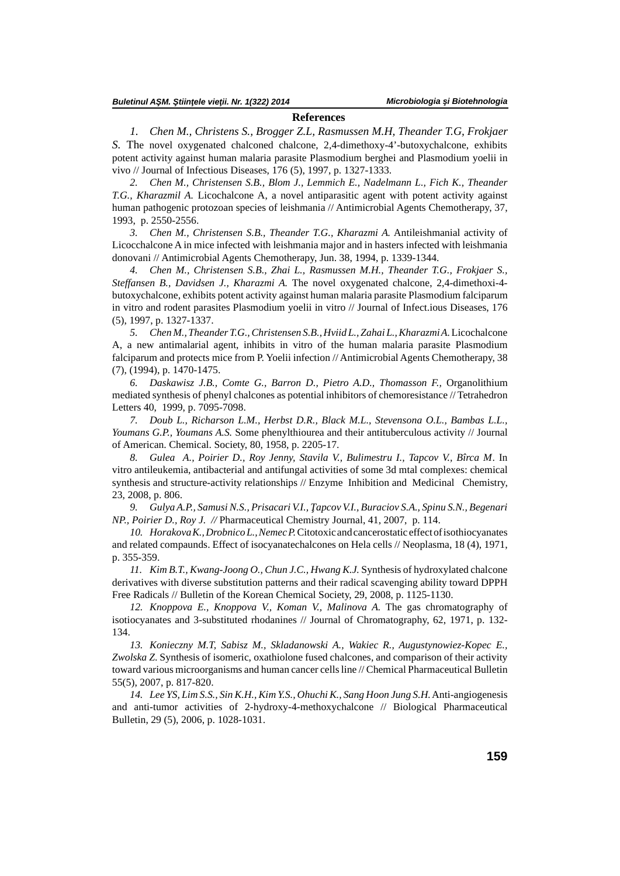### **References**

*1. Chen M., Christens S., Brogger Z.L, Rasmussen M.H, Theander T.G, Frokjaer S.* The novel oxygenated chalconed chalcone, 2,4-dimethoxy-4'-butoxychalcone, exhibits potent activity against human malaria parasite Plasmodium berghei and Plasmodium yoelii in vivo // Journal of Infectious Diseases, 176 (5), 1997, p. 1327-1333.

*2. Chen M., Christensen S.B., Blom J., Lemmich E., Nadelmann L., Fich K., Theander T.G., Kharazmil A.* Licochalcone A, a novel antiparasitic agent with potent activity against human pathogenic protozoan species of leishmania // Antimicrobial Agents Chemotherapy, 37, 1993, p. 2550-2556.

*3. Chen M., Christensen S.B., Theander T.G., Kharazmi A.* Antileishmanial activity of Licocchalcone A in mice infected with leishmania major and in hasters infected with leishmania donovani // Antimicrobial Agents Chemotherapy, Jun. 38, 1994, p. 1339-1344.

*4. Chen M., Christensen S.B., Zhai L., Rasmussen M.H., Theander T.G., Frokjaer S., Steffansen B., Davidsen J., Kharazmi A.* The novel oxygenated chalcone, 2,4-dimethoxi-4 butoxychalcone, exhibits potent activity against human malaria parasite Plasmodium falciparum in vitro and rodent parasites Plasmodium yoelii in vitro // Journal of Infect.ious Diseases, 176 (5), 1997, p. 1327-1337.

*5. Chen M., Theander T.G., Christensen S.B., Hviid L., Zahai L., Kharazmi A.*Licochalcone A, a new antimalarial agent, inhibits in vitro of the human malaria parasite Plasmodium falciparum and protects mice from P. Yoelii infection // Antimicrobial Agents Chemotherapy, 38 (7), (1994), p. 1470-1475.

*6. Daskawisz J.B., Comte G., Barron D., Pietro A.D., Thomasson F.,* Organolithium mediated synthesis of phenyl chalcones as potential inhibitors of chemoresistance // Tetrahedron Letters 40, 1999, p. 7095-7098.

*7. Doub L., Richarson L.M., Herbst D.R., Black M.L., Stevensona O.L., Bambas L.L., Youmans G.P., Youmans A.S.* Some phenylthiourea and their antituberculous activity // Journal of American. Chemical. Society, 80, 1958, p. 2205-17.

*8. Gulea A., Poirier D., Roy Jenny, Stavila V., Bulimestru I., Tapcov V., Bîrca M*. In vitro antileukemia, antibacterial and antifungal activities of some 3d mtal complexes: chemical synthesis and structure-activity relationships // Enzyme Inhibition and Medicinal Chemistry, 23, 2008, p. 806.

9. *Gulya A.P., Samusi N.S., Prisacari V.I., apcov V.I., Buraciov S.A., Spinu S.N., Begenari NP., Poirier D., Roy J. //* Pharmaceutical Chemistry Journal, 41, 2007, p. 114.

*10. Horakova K., Drobnico L., Nemec P.* Citotoxic and cancerostatic effect of isothiocyanates and related compaunds. Effect of isocyanatechalcones on Hela cells // Neoplasma, 18 (4), 1971, p. 355-359.

*11. Kim B.T., Kwang-Joong O., Chun J.C., Hwang K.J.* Synthesis of hydroxylated chalcone derivatives with diverse substitution patterns and their radical scavenging ability toward DPPH Free Radicals // Bulletin of the Korean Chemical Society, 29, 2008, p. 1125-1130.

*12. Knoppova E., Knoppova V., Koman V., Malinova A.* The gas chromatography of isotiocyanates and 3-substituted rhodanines // Journal of Chromatography, 62, 1971, p. 132- 134.

*13. Konieczny M.T, Sabisz M., Skladanowski A., Wakiec R., Augustynowiez-Kopec E., Zwolska Z*. Synthesis of isomeric, oxathiolone fused chalcones, and comparison of their activity toward various microorganisms and human cancer cells line // Chemical Pharmaceutical Bulletin 55(5), 2007, p. 817-820.

*14. Lee YS, Lim S.S., Sin K.H., Kim Y.S., Ohuchi K., Sang Hoon Jung S.H.* Anti-angiogenesis and anti-tumor activities of 2-hydroxy-4-methoxychalcone // Biological Pharmaceutical Bulletin, 29 (5), 2006, p. 1028-1031.